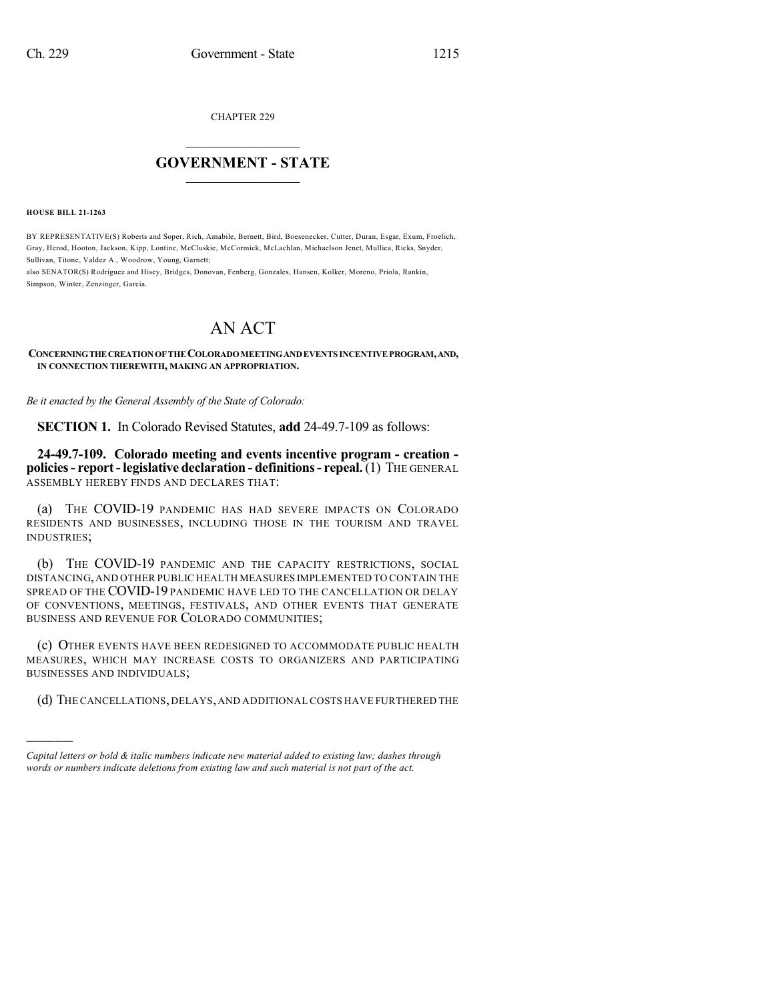CHAPTER 229

## $\mathcal{L}_\text{max}$  . The set of the set of the set of the set of the set of the set of the set of the set of the set of the set of the set of the set of the set of the set of the set of the set of the set of the set of the set **GOVERNMENT - STATE**  $\_$   $\_$   $\_$   $\_$   $\_$   $\_$   $\_$   $\_$   $\_$

**HOUSE BILL 21-1263**

)))))

BY REPRESENTATIVE(S) Roberts and Soper, Rich, Amabile, Bernett, Bird, Boesenecker, Cutter, Duran, Esgar, Exum, Froelich, Gray, Herod, Hooton, Jackson, Kipp, Lontine, McCluskie, McCormick, McLachlan, Michaelson Jenet, Mullica, Ricks, Snyder, Sullivan, Titone, Valdez A., Woodrow, Young, Garnett;

also SENATOR(S) Rodriguez and Hisey, Bridges, Donovan, Fenberg, Gonzales, Hansen, Kolker, Moreno, Priola, Rankin, Simpson, Winter, Zenzinger, Garcia.

## AN ACT

**CONCERNINGTHECREATIONOFTHECOLORADOMEETINGANDEVENTS INCENTIVEPROGRAM,AND, IN CONNECTION THEREWITH, MAKING AN APPROPRIATION.**

*Be it enacted by the General Assembly of the State of Colorado:*

**SECTION 1.** In Colorado Revised Statutes, **add** 24-49.7-109 as follows:

**24-49.7-109. Colorado meeting and events incentive program - creation policies- report-legislative declaration - definitions- repeal.**(1) THE GENERAL ASSEMBLY HEREBY FINDS AND DECLARES THAT:

(a) THE COVID-19 PANDEMIC HAS HAD SEVERE IMPACTS ON COLORADO RESIDENTS AND BUSINESSES, INCLUDING THOSE IN THE TOURISM AND TRAVEL INDUSTRIES;

(b) THE COVID-19 PANDEMIC AND THE CAPACITY RESTRICTIONS, SOCIAL DISTANCING,AND OTHER PUBLIC HEALTH MEASURES IMPLEMENTED TO CONTAIN THE SPREAD OF THE COVID-19 PANDEMIC HAVE LED TO THE CANCELLATION OR DELAY OF CONVENTIONS, MEETINGS, FESTIVALS, AND OTHER EVENTS THAT GENERATE BUSINESS AND REVENUE FOR COLORADO COMMUNITIES;

(c) OTHER EVENTS HAVE BEEN REDESIGNED TO ACCOMMODATE PUBLIC HEALTH MEASURES, WHICH MAY INCREASE COSTS TO ORGANIZERS AND PARTICIPATING BUSINESSES AND INDIVIDUALS;

(d) THE CANCELLATIONS,DELAYS,AND ADDITIONAL COSTS HAVE FURTHERED THE

*Capital letters or bold & italic numbers indicate new material added to existing law; dashes through words or numbers indicate deletions from existing law and such material is not part of the act.*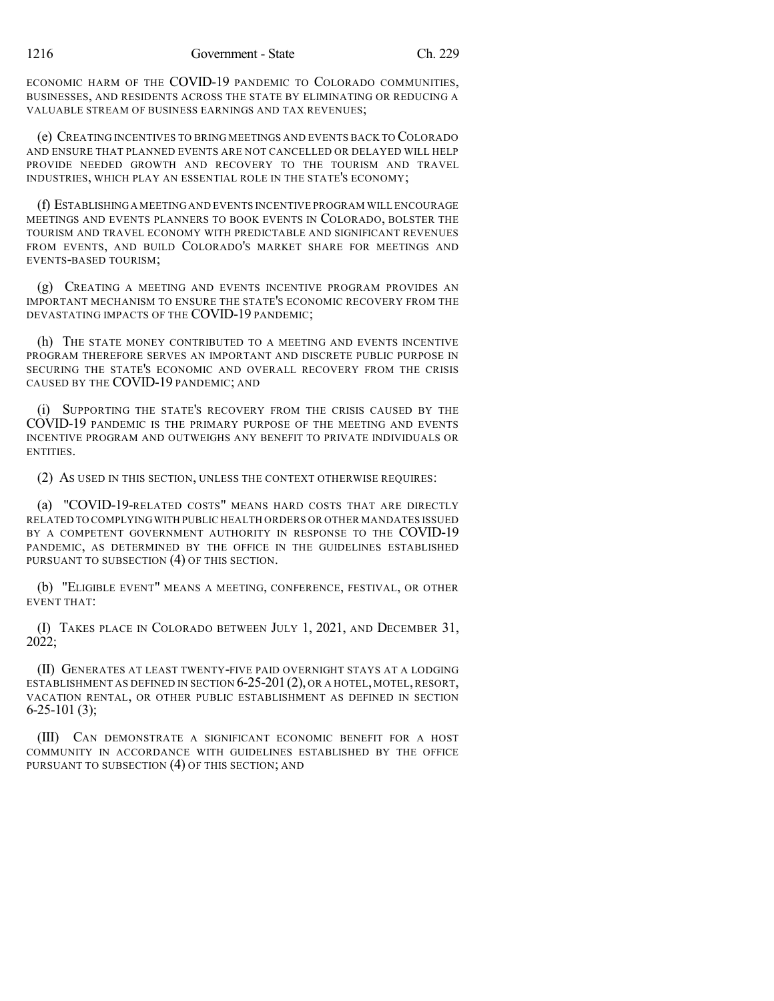ECONOMIC HARM OF THE COVID-19 PANDEMIC TO COLORADO COMMUNITIES, BUSINESSES, AND RESIDENTS ACROSS THE STATE BY ELIMINATING OR REDUCING A VALUABLE STREAM OF BUSINESS EARNINGS AND TAX REVENUES;

(e) CREATING INCENTIVES TO BRING MEETINGS AND EVENTS BACK TO COLORADO AND ENSURE THAT PLANNED EVENTS ARE NOT CANCELLED OR DELAYED WILL HELP PROVIDE NEEDED GROWTH AND RECOVERY TO THE TOURISM AND TRAVEL INDUSTRIES, WHICH PLAY AN ESSENTIAL ROLE IN THE STATE'S ECONOMY;

(f) ESTABLISHINGA MEETING AND EVENTS INCENTIVE PROGRAM WILL ENCOURAGE MEETINGS AND EVENTS PLANNERS TO BOOK EVENTS IN COLORADO, BOLSTER THE TOURISM AND TRAVEL ECONOMY WITH PREDICTABLE AND SIGNIFICANT REVENUES FROM EVENTS, AND BUILD COLORADO'S MARKET SHARE FOR MEETINGS AND EVENTS-BASED TOURISM;

(g) CREATING A MEETING AND EVENTS INCENTIVE PROGRAM PROVIDES AN IMPORTANT MECHANISM TO ENSURE THE STATE'S ECONOMIC RECOVERY FROM THE DEVASTATING IMPACTS OF THE COVID-19 PANDEMIC;

(h) THE STATE MONEY CONTRIBUTED TO A MEETING AND EVENTS INCENTIVE PROGRAM THEREFORE SERVES AN IMPORTANT AND DISCRETE PUBLIC PURPOSE IN SECURING THE STATE'S ECONOMIC AND OVERALL RECOVERY FROM THE CRISIS CAUSED BY THE COVID-19 PANDEMIC; AND

(i) SUPPORTING THE STATE'S RECOVERY FROM THE CRISIS CAUSED BY THE COVID-19 PANDEMIC IS THE PRIMARY PURPOSE OF THE MEETING AND EVENTS INCENTIVE PROGRAM AND OUTWEIGHS ANY BENEFIT TO PRIVATE INDIVIDUALS OR ENTITIES.

(2) AS USED IN THIS SECTION, UNLESS THE CONTEXT OTHERWISE REQUIRES:

(a) "COVID-19-RELATED COSTS" MEANS HARD COSTS THAT ARE DIRECTLY RELATED TO COMPLYINGWITH PUBLIC HEALTH ORDERS OR OTHER MANDATES ISSUED BY A COMPETENT GOVERNMENT AUTHORITY IN RESPONSE TO THE COVID-19 PANDEMIC, AS DETERMINED BY THE OFFICE IN THE GUIDELINES ESTABLISHED PURSUANT TO SUBSECTION (4) OF THIS SECTION.

(b) "ELIGIBLE EVENT" MEANS A MEETING, CONFERENCE, FESTIVAL, OR OTHER EVENT THAT:

(I) TAKES PLACE IN COLORADO BETWEEN JULY 1, 2021, AND DECEMBER 31, 2022;

(II) GENERATES AT LEAST TWENTY-FIVE PAID OVERNIGHT STAYS AT A LODGING ESTABLISHMENT AS DEFINED IN SECTION 6-25-201(2), OR A HOTEL, MOTEL,RESORT, VACATION RENTAL, OR OTHER PUBLIC ESTABLISHMENT AS DEFINED IN SECTION  $6-25-101(3);$ 

(III) CAN DEMONSTRATE A SIGNIFICANT ECONOMIC BENEFIT FOR A HOST COMMUNITY IN ACCORDANCE WITH GUIDELINES ESTABLISHED BY THE OFFICE PURSUANT TO SUBSECTION (4) OF THIS SECTION; AND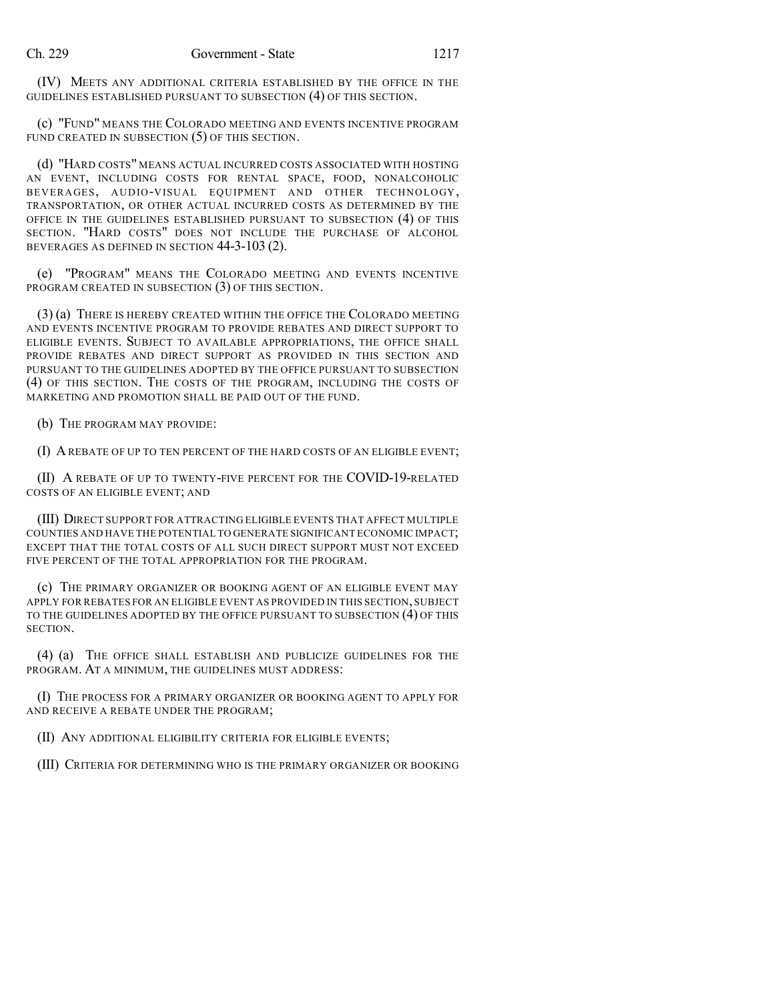(IV) MEETS ANY ADDITIONAL CRITERIA ESTABLISHED BY THE OFFICE IN THE GUIDELINES ESTABLISHED PURSUANT TO SUBSECTION (4) OF THIS SECTION.

(c) "FUND" MEANS THE COLORADO MEETING AND EVENTS INCENTIVE PROGRAM FUND CREATED IN SUBSECTION (5) OF THIS SECTION.

(d) "HARD COSTS" MEANS ACTUAL INCURRED COSTS ASSOCIATED WITH HOSTING AN EVENT, INCLUDING COSTS FOR RENTAL SPACE, FOOD, NONALCOHOLIC BEVERAGES, AUDIO-VISUAL EQUIPMENT AND OTHER TECHNOLOGY, TRANSPORTATION, OR OTHER ACTUAL INCURRED COSTS AS DETERMINED BY THE OFFICE IN THE GUIDELINES ESTABLISHED PURSUANT TO SUBSECTION (4) OF THIS SECTION. "HARD COSTS" DOES NOT INCLUDE THE PURCHASE OF ALCOHOL BEVERAGES AS DEFINED IN SECTION 44-3-103 (2).

(e) "PROGRAM" MEANS THE COLORADO MEETING AND EVENTS INCENTIVE PROGRAM CREATED IN SUBSECTION (3) OF THIS SECTION.

(3) (a) THERE IS HEREBY CREATED WITHIN THE OFFICE THE COLORADO MEETING AND EVENTS INCENTIVE PROGRAM TO PROVIDE REBATES AND DIRECT SUPPORT TO ELIGIBLE EVENTS. SUBJECT TO AVAILABLE APPROPRIATIONS, THE OFFICE SHALL PROVIDE REBATES AND DIRECT SUPPORT AS PROVIDED IN THIS SECTION AND PURSUANT TO THE GUIDELINES ADOPTED BY THE OFFICE PURSUANT TO SUBSECTION (4) OF THIS SECTION. THE COSTS OF THE PROGRAM, INCLUDING THE COSTS OF MARKETING AND PROMOTION SHALL BE PAID OUT OF THE FUND.

(b) THE PROGRAM MAY PROVIDE:

(I) AREBATE OF UP TO TEN PERCENT OF THE HARD COSTS OF AN ELIGIBLE EVENT;

(II) A REBATE OF UP TO TWENTY-FIVE PERCENT FOR THE COVID-19-RELATED COSTS OF AN ELIGIBLE EVENT; AND

(III) DIRECT SUPPORT FOR ATTRACTING ELIGIBLE EVENTS THAT AFFECT MULTIPLE COUNTIES AND HAVE THE POTENTIAL TO GENERATE SIGNIFICANT ECONOMIC IMPACT; EXCEPT THAT THE TOTAL COSTS OF ALL SUCH DIRECT SUPPORT MUST NOT EXCEED FIVE PERCENT OF THE TOTAL APPROPRIATION FOR THE PROGRAM.

(c) THE PRIMARY ORGANIZER OR BOOKING AGENT OF AN ELIGIBLE EVENT MAY APPLY FOR REBATES FOR AN ELIGIBLE EVENT AS PROVIDED IN THIS SECTION, SUBJECT TO THE GUIDELINES ADOPTED BY THE OFFICE PURSUANT TO SUBSECTION (4) OF THIS SECTION.

(4) (a) THE OFFICE SHALL ESTABLISH AND PUBLICIZE GUIDELINES FOR THE PROGRAM. AT A MINIMUM, THE GUIDELINES MUST ADDRESS:

(I) THE PROCESS FOR A PRIMARY ORGANIZER OR BOOKING AGENT TO APPLY FOR AND RECEIVE A REBATE UNDER THE PROGRAM;

(II) ANY ADDITIONAL ELIGIBILITY CRITERIA FOR ELIGIBLE EVENTS;

(III) CRITERIA FOR DETERMINING WHO IS THE PRIMARY ORGANIZER OR BOOKING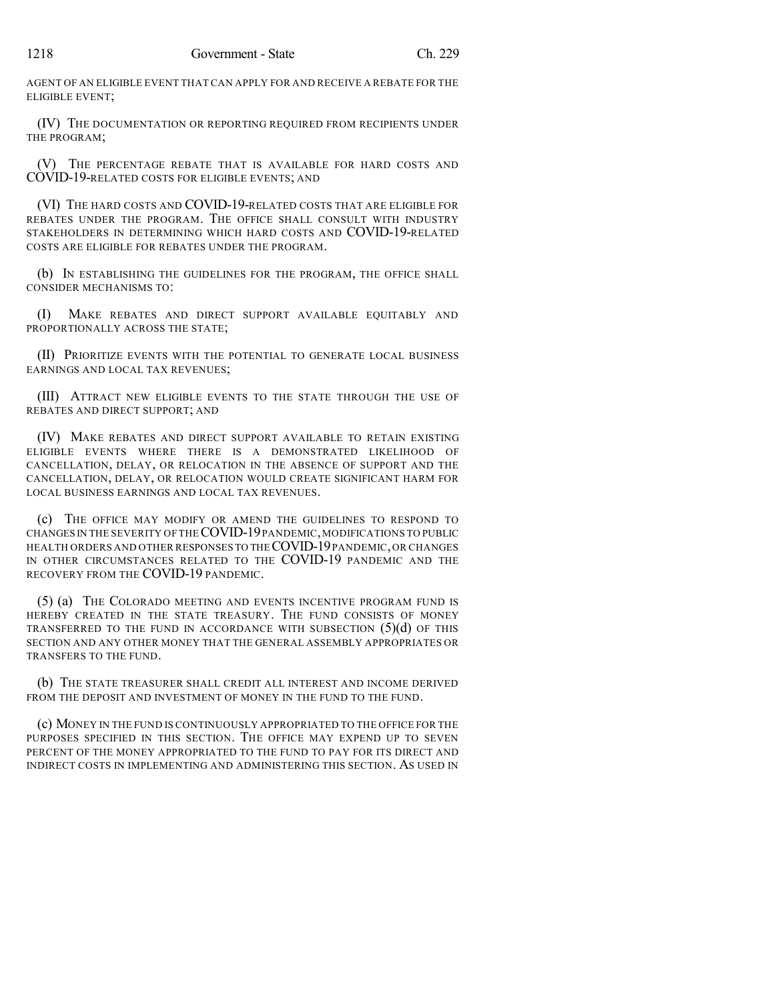AGENT OF AN ELIGIBLE EVENT THAT CAN APPLY FOR AND RECEIVE A REBATE FOR THE ELIGIBLE EVENT;

(IV) THE DOCUMENTATION OR REPORTING REQUIRED FROM RECIPIENTS UNDER THE PROGRAM;

(V) THE PERCENTAGE REBATE THAT IS AVAILABLE FOR HARD COSTS AND COVID-19-RELATED COSTS FOR ELIGIBLE EVENTS; AND

(VI) THE HARD COSTS AND COVID-19-RELATED COSTS THAT ARE ELIGIBLE FOR REBATES UNDER THE PROGRAM. THE OFFICE SHALL CONSULT WITH INDUSTRY STAKEHOLDERS IN DETERMINING WHICH HARD COSTS AND COVID-19-RELATED COSTS ARE ELIGIBLE FOR REBATES UNDER THE PROGRAM.

(b) IN ESTABLISHING THE GUIDELINES FOR THE PROGRAM, THE OFFICE SHALL CONSIDER MECHANISMS TO:

(I) MAKE REBATES AND DIRECT SUPPORT AVAILABLE EQUITABLY AND PROPORTIONALLY ACROSS THE STATE;

(II) PRIORITIZE EVENTS WITH THE POTENTIAL TO GENERATE LOCAL BUSINESS EARNINGS AND LOCAL TAX REVENUES;

(III) ATTRACT NEW ELIGIBLE EVENTS TO THE STATE THROUGH THE USE OF REBATES AND DIRECT SUPPORT; AND

(IV) MAKE REBATES AND DIRECT SUPPORT AVAILABLE TO RETAIN EXISTING ELIGIBLE EVENTS WHERE THERE IS A DEMONSTRATED LIKELIHOOD OF CANCELLATION, DELAY, OR RELOCATION IN THE ABSENCE OF SUPPORT AND THE CANCELLATION, DELAY, OR RELOCATION WOULD CREATE SIGNIFICANT HARM FOR LOCAL BUSINESS EARNINGS AND LOCAL TAX REVENUES.

(c) THE OFFICE MAY MODIFY OR AMEND THE GUIDELINES TO RESPOND TO CHANGES IN THE SEVERITY OF THECOVID-19PANDEMIC,MODIFICATIONS TO PUBLIC HEALTH ORDERS AND OTHER RESPONSES TO THECOVID-19PANDEMIC,OR CHANGES IN OTHER CIRCUMSTANCES RELATED TO THE COVID-19 PANDEMIC AND THE RECOVERY FROM THE COVID-19 PANDEMIC.

(5) (a) THE COLORADO MEETING AND EVENTS INCENTIVE PROGRAM FUND IS HEREBY CREATED IN THE STATE TREASURY. THE FUND CONSISTS OF MONEY TRANSFERRED TO THE FUND IN ACCORDANCE WITH SUBSECTION  $(5)(d)$  OF THIS SECTION AND ANY OTHER MONEY THAT THE GENERAL ASSEMBLY APPROPRIATES OR TRANSFERS TO THE FUND.

(b) THE STATE TREASURER SHALL CREDIT ALL INTEREST AND INCOME DERIVED FROM THE DEPOSIT AND INVESTMENT OF MONEY IN THE FUND TO THE FUND.

(c) MONEY IN THE FUND IS CONTINUOUSLY APPROPRIATED TO THE OFFICE FOR THE PURPOSES SPECIFIED IN THIS SECTION. THE OFFICE MAY EXPEND UP TO SEVEN PERCENT OF THE MONEY APPROPRIATED TO THE FUND TO PAY FOR ITS DIRECT AND INDIRECT COSTS IN IMPLEMENTING AND ADMINISTERING THIS SECTION. AS USED IN